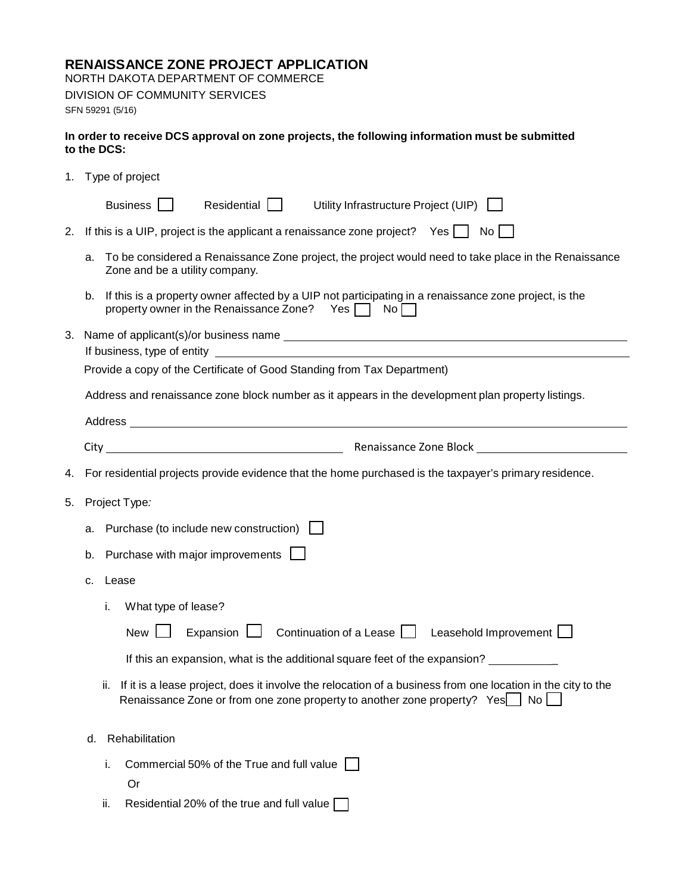## **RENAISSANCE ZONE PROJECT APPLICATION**

NORTH DAKOTA DEPARTMENT OF COMMERCE DIVISION OF COMMUNITY SERVICES

SFN 59291 (5/16)

## **In order to receive DCS approval on zone projects, the following information must be submitted to the DCS:**

|    | 1. Type of project                                                                                                                                                                                                             |  |  |  |  |  |
|----|--------------------------------------------------------------------------------------------------------------------------------------------------------------------------------------------------------------------------------|--|--|--|--|--|
|    | Business    <br>Residential    <br>Utility Infrastructure Project (UIP)                                                                                                                                                        |  |  |  |  |  |
| 2. | If this is a UIP, project is the applicant a renaissance zone project? Yes $\Box$ No $\Box$                                                                                                                                    |  |  |  |  |  |
|    | To be considered a Renaissance Zone project, the project would need to take place in the Renaissance<br>a.<br>Zone and be a utility company.                                                                                   |  |  |  |  |  |
|    | b. If this is a property owner affected by a UIP not participating in a renaissance zone project, is the<br>property owner in the Renaissance Zone? Yes $\Box$ No $\Box$                                                       |  |  |  |  |  |
| З. |                                                                                                                                                                                                                                |  |  |  |  |  |
|    | Provide a copy of the Certificate of Good Standing from Tax Department)                                                                                                                                                        |  |  |  |  |  |
|    | Address and renaissance zone block number as it appears in the development plan property listings.                                                                                                                             |  |  |  |  |  |
|    | Address and the contract of the contract of the contract of the contract of the contract of the contract of the contract of the contract of the contract of the contract of the contract of the contract of the contract of th |  |  |  |  |  |
|    |                                                                                                                                                                                                                                |  |  |  |  |  |
| 4. | For residential projects provide evidence that the home purchased is the taxpayer's primary residence.                                                                                                                         |  |  |  |  |  |
| 5. | Project Type:                                                                                                                                                                                                                  |  |  |  |  |  |
|    | Purchase (to include new construction) $\Box$<br>а.                                                                                                                                                                            |  |  |  |  |  |
|    | Purchase with major improvements  <br>b.                                                                                                                                                                                       |  |  |  |  |  |
|    | Lease<br>c.                                                                                                                                                                                                                    |  |  |  |  |  |
|    | What type of lease?<br>j.                                                                                                                                                                                                      |  |  |  |  |  |
|    | Expansion $\Box$ Continuation of a Lease $\Box$ Leasehold Improvement $\Box$<br>New                                                                                                                                            |  |  |  |  |  |
|    | If this an expansion, what is the additional square feet of the expansion?                                                                                                                                                     |  |  |  |  |  |
|    | If it is a lease project, does it involve the relocation of a business from one location in the city to the<br>ii.<br>Renaissance Zone or from one zone property to another zone property? Yes   No                            |  |  |  |  |  |
|    | Rehabilitation<br>d.                                                                                                                                                                                                           |  |  |  |  |  |
|    | Commercial 50% of the True and full value $\Box$<br>i.<br>0r                                                                                                                                                                   |  |  |  |  |  |
|    | Residential 20% of the true and full value $\Box$<br>ii.                                                                                                                                                                       |  |  |  |  |  |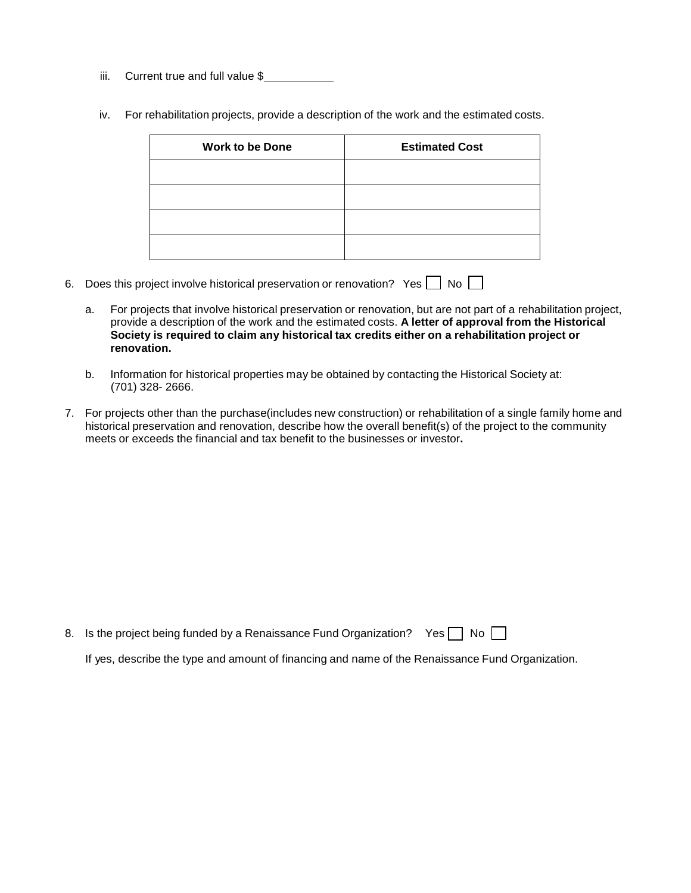- iii. Current true and full value \$
- iv. For rehabilitation projects, provide a description of the work and the estimated costs.

| <b>Work to be Done</b> | <b>Estimated Cost</b> |
|------------------------|-----------------------|
|                        |                       |
|                        |                       |
|                        |                       |
|                        |                       |

- 6. Does this project involve historical preservation or renovation? Yes  $\Box$  No  $\Box$ 
	- a. For projects that involve historical preservation or renovation, but are not part of a rehabilitation project, provide a description of the work and the estimated costs. **A letter of approval from the Historical Society is required to claim any historical tax credits either on a rehabilitation project or renovation.**
	- b. Information for historical properties may be obtained by contacting the Historical Society at: (701) 328- 2666.
- 7. For projects other than the purchase(includes new construction) or rehabilitation of a single family home and historical preservation and renovation, describe how the overall benefit(s) of the project to the community meets or exceeds the financial and tax benefit to the businesses or investor**.**

|  | 8. Is the project being funded by a Renaissance Fund Organization? Yes $\Box$ No $\Box$ |  |  |  |
|--|-----------------------------------------------------------------------------------------|--|--|--|
|--|-----------------------------------------------------------------------------------------|--|--|--|

If yes, describe the type and amount of financing and name of the Renaissance Fund Organization.